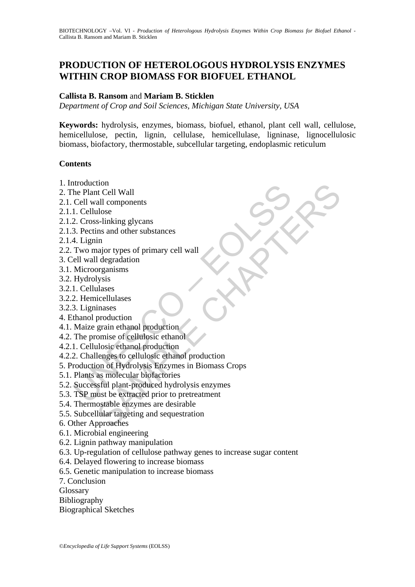# **PRODUCTION OF HETEROLOGOUS HYDROLYSIS ENZYMES WITHIN CROP BIOMASS FOR BIOFUEL ETHANOL**

### **Callista B. Ransom** and **Mariam B. Sticklen**

*Department of Crop and Soil Sciences, Michigan State University, USA* 

**Keywords:** hydrolysis, enzymes, biomass, biofuel, ethanol, plant cell wall, cellulose, hemicellulose, pectin, lignin, cellulase, hemicellulase, ligninase, lignocellulosic biomass, biofactory, thermostable, subcellular targeting, endoplasmic reticulum

### **Contents**

- 1. Introduction
- 2. The Plant Cell Wall
- 2.1. Cell wall components
- 2.1.1. Cellulose
- 2.1.2. Cross-linking glycans
- 2.1.3. Pectins and other substances
- 2.1.4. Lignin
- 2.2. Two major types of primary cell wall
- 3. Cell wall degradation
- 3.1. Microorganisms
- 3.2. Hydrolysis
- 3.2.1. Cellulases
- 3.2.2. Hemicellulases
- 3.2.3. Ligninases
- 4. Ethanol production
- 4.1. Maize grain ethanol production
- 4.2. The promise of cellulosic ethanol
- 4.2.1. Cellulosic ethanol production
- 4.2.2. Challenges to cellulosic ethanol production
- Moduction<br>
The Plant Cell Wall<br>
Cell wall components<br>
1. Cellulose<br>
2. Cross-linking glycans<br>
3. Pectins and other substances<br>
4. Lignin<br>
Two major types of primary cell wall<br>
ell wall degradation<br>
Microorganisms<br>
Hydrolys to the components<br>to the Cell Wall<br>all components<br>allows<br>also s-linking glycans<br>ins and other substances<br>in again of the substances<br>in degradation<br>organisms<br>pregnainsms<br>invasses<br>production<br>grain ethanol production<br>diosic e 5. Production of Hydrolysis Enzymes in Biomass Crops
- 5.1. Plants as molecular biofactories
- 5.2. Successful plant-produced hydrolysis enzymes
- 5.3. TSP must be extracted prior to pretreatment
- 5.4. Thermostable enzymes are desirable
- 5.5. Subcellular targeting and sequestration
- 6. Other Approaches
- 6.1. Microbial engineering
- 6.2. Lignin pathway manipulation
- 6.3. Up-regulation of cellulose pathway genes to increase sugar content
- 6.4. Delayed flowering to increase biomass
- 6.5. Genetic manipulation to increase biomass
- 7. Conclusion
- **Glossary**
- Bibliography
- Biographical Sketches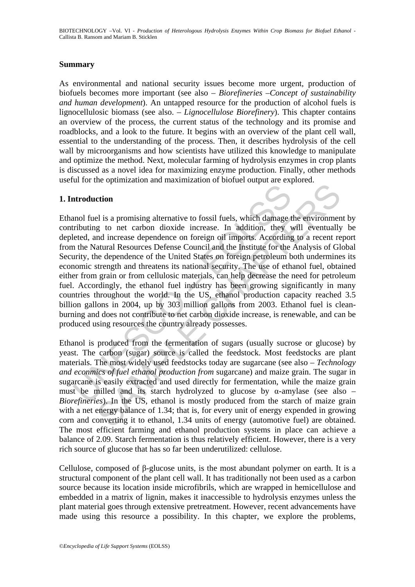#### **Summary**

As environmental and national security issues become more urgent, production of biofuels becomes more important (see also – *Biorefineries –Concept of sustainability and human development*). An untapped resource for the production of alcohol fuels is lignocellulosic biomass (see also. – *Lignocellulose Biorefinery*). This chapter contains an overview of the process, the current status of the technology and its promise and roadblocks, and a look to the future. It begins with an overview of the plant cell wall, essential to the understanding of the process. Then, it describes hydrolysis of the cell wall by microorganisms and how scientists have utilized this knowledge to manipulate and optimize the method. Next, molecular farming of hydrolysis enzymes in crop plants is discussed as a novel idea for maximizing enzyme production. Finally, other methods useful for the optimization and maximization of biofuel output are explored.

#### **1. Introduction**

**Example 12**<br> **Example 10**<br> **Example 10**<br> **Example 10**<br> **Example 10**<br> **Example 10**<br> **Example 10**<br> **Example 10**<br> **Example 10**<br> **Example 10**<br> **Example 10**<br> **Example 10**<br> **Example 10**<br> **Example 10**<br> **Example 10**<br> **Example 10** and promining alternative to fossil fuels, which damage the environment of the set of the control of the contributed in the matter of the Amalysis of GI extent the dependence of the United States on foreign petroleum both Ethanol fuel is a promising alternative to fossil fuels, which damage the environment by contributing to net carbon dioxide increase. In addition, they will eventually be depleted, and increase dependence on foreign oil imports. According to a recent report from the Natural Resources Defense Council and the Institute for the Analysis of Global Security, the dependence of the United States on foreign petroleum both undermines its economic strength and threatens its national security. The use of ethanol fuel, obtained either from grain or from cellulosic materials, can help decrease the need for petroleum fuel. Accordingly, the ethanol fuel industry has been growing significantly in many countries throughout the world. In the US, ethanol production capacity reached 3.5 billion gallons in 2004, up by 303 million gallons from 2003. Ethanol fuel is cleanburning and does not contribute to net carbon dioxide increase, is renewable, and can be produced using resources the country already possesses.

Ethanol is produced from the fermentation of sugars (usually sucrose or glucose) by yeast. The carbon (sugar) source is called the feedstock. Most feedstocks are plant materials. The most widely used feedstocks today are sugarcane (see also – *Technology and econmics of fuel ethanol production from* sugarcane) and maize grain. The sugar in sugarcane is easily extracted and used directly for fermentation, while the maize grain must be milled and its starch hydrolyzed to glucose by  $\alpha$ -amylase (see also – *Biorefineries*). In the US, ethanol is mostly produced from the starch of maize grain with a net energy balance of 1.34; that is, for every unit of energy expended in growing corn and converting it to ethanol, 1.34 units of energy (automotive fuel) are obtained. The most efficient farming and ethanol production systems in place can achieve a balance of 2.09. Starch fermentation is thus relatively efficient. However, there is a very rich source of glucose that has so far been underutilized: cellulose.

Cellulose, composed of β-glucose units, is the most abundant polymer on earth. It is a structural component of the plant cell wall. It has traditionally not been used as a carbon source because its location inside microfibrils, which are wrapped in hemicellulose and embedded in a matrix of lignin, makes it inaccessible to hydrolysis enzymes unless the plant material goes through extensive pretreatment. However, recent advancements have made using this resource a possibility. In this chapter, we explore the problems,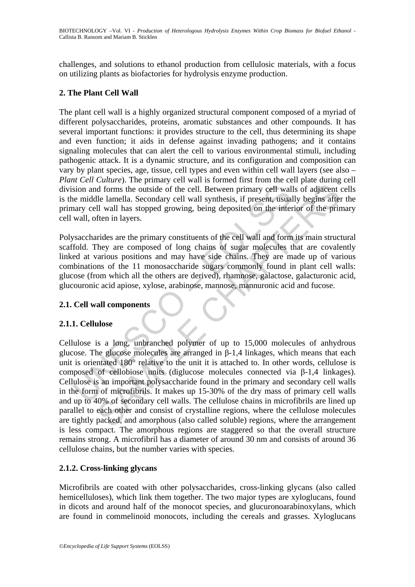challenges, and solutions to ethanol production from cellulosic materials, with a focus on utilizing plants as biofactories for hydrolysis enzyme production.

## **2. The Plant Cell Wall**

The plant cell wall is a highly organized structural component composed of a myriad of different polysaccharides, proteins, aromatic substances and other compounds. It has several important functions: it provides structure to the cell, thus determining its shape and even function; it aids in defense against invading pathogens; and it contains signaling molecules that can alert the cell to various environmental stimuli, including pathogenic attack. It is a dynamic structure, and its configuration and composition can vary by plant species, age, tissue, cell types and even within cell wall layers (see also – *Plant Cell Culture*). The primary cell wall is formed first from the cell plate during cell division and forms the outside of the cell. Between primary cell walls of adjacent cells is the middle lamella. Secondary cell wall synthesis, if present, usually begins after the primary cell wall has stopped growing, being deposited on the interior of the primary cell wall, often in layers.

Polysaccharides are the primary constituents of the cell wall and form its main structural scaffold. They are composed of long chains of sugar molecules that are covalently linked at various positions and may have side chains. They are made up of various combinations of the 11 monosaccharide sugars commonly found in plant cell walls: glucose (from which all the others are derived), rhamnose, galactose, galacturonic acid, glucouronic acid apiose, xylose, arabinose, mannose, mannuronic acid and fucose.

## **2.1. Cell wall components**

# **2.1.1. Cellulose**

sion and forms the outside of the cell. Between primary cell wall<br>e middle lamella. Secondary cell wall synthesis, if present, usua<br>anary cell wall has stopped growing, being deposited on the inter<br>wall, often in layers.<br> d dorms the outside of the cell. Between primary cell walls of adjacent and dorms the outside of the cell. Between primary cell walls of adjacent and le lamella. Secondary cell wall synthesis, if present, usually begins af Cellulose is a long, unbranched polymer of up to 15,000 molecules of anhydrous glucose. The glucose molecules are arranged in β-1,4 linkages, which means that each unit is orientated 180° relative to the unit it is attached to. In other words, cellulose is composed of cellobiose units (diglucose molecules connected via β-1,4 linkages). Cellulose is an important polysaccharide found in the primary and secondary cell walls in the form of microfibrils. It makes up 15-30% of the dry mass of primary cell walls and up to 40% of secondary cell walls. The cellulose chains in microfibrils are lined up parallel to each other and consist of crystalline regions, where the cellulose molecules are tightly packed, and amorphous (also called soluble) regions, where the arrangement is less compact. The amorphous regions are staggered so that the overall structure remains strong. A microfibril has a diameter of around 30 nm and consists of around 36 cellulose chains, but the number varies with species.

## **2.1.2. Cross-linking glycans**

Microfibrils are coated with other polysaccharides, cross-linking glycans (also called hemicelluloses), which link them together. The two major types are xyloglucans, found in dicots and around half of the monocot species, and glucuronoarabinoxylans, which are found in commelinoid monocots, including the cereals and grasses. Xyloglucans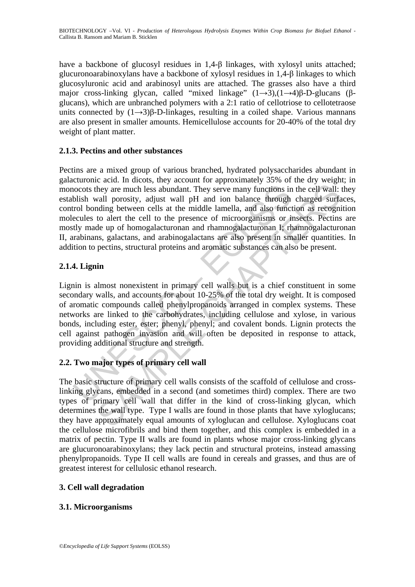have a backbone of glucosyl residues in 1,4-β linkages, with xylosyl units attached; glucuronoarabinoxylans have a backbone of xylosyl residues in 1,4-β linkages to which glucosyluronic acid and arabinosyl units are attached. The grasses also have a third major cross-linking glycan, called "mixed linkage"  $(1\rightarrow 3)$ , $(1\rightarrow 4)$ β-D-glucans (βglucans), which are unbranched polymers with a 2:1 ratio of cellotriose to cellotetraose units connected by  $(1\rightarrow3)$ β-D-linkages, resulting in a coiled shape. Various mannans are also present in smaller amounts. Hemicellulose accounts for 20-40% of the total dry weight of plant matter.

## **2.1.3. Pectins and other substances**

notical positive are much less abundant. They serve many functions in<br>blish wall porosity, adjust wall pH and ion balance through<br>trol bonding between cells at the middle lamella, and also funct<br>cecules to alert the cell t They are much less abundant. They serve many functions in the cell wall:<br>they are much less abundant. They serve many functions in the cell wall:<br>avail porosity, adjust wall pH and ion balance through charged surfacial<br>and Pectins are a mixed group of various branched, hydrated polysaccharides abundant in galacturonic acid. In dicots, they account for approximately 35% of the dry weight; in monocots they are much less abundant. They serve many functions in the cell wall: they establish wall porosity, adjust wall pH and ion balance through charged surfaces, control bonding between cells at the middle lamella, and also function as recognition molecules to alert the cell to the presence of microorganisms or insects. Pectins are mostly made up of homogalacturonan and rhamnogalacturonan I; rhamnogalacturonan II, arabinans, galactans, and arabinogalactans are also present in smaller quantities. In addition to pectins, structural proteins and aromatic substances can also be present.

## **2.1.4. Lignin**

Lignin is almost nonexistent in primary cell walls but is a chief constituent in some secondary walls, and accounts for about 10-25% of the total dry weight. It is composed of aromatic compounds called phenylpropanoids arranged in complex systems. These networks are linked to the carbohydrates, including cellulose and xylose, in various bonds, including ester, ester; phenyl, phenyl; and covalent bonds. Lignin protects the cell against pathogen invasion and will often be deposited in response to attack, providing additional structure and strength.

## **2.2. Two major types of primary cell wall**

The basic structure of primary cell walls consists of the scaffold of cellulose and crosslinking glycans, embedded in a second (and sometimes third) complex. There are two types of primary cell wall that differ in the kind of cross-linking glycan, which determines the wall type. Type I walls are found in those plants that have xyloglucans; they have approximately equal amounts of xyloglucan and cellulose. Xyloglucans coat the cellulose microfibrils and bind them together, and this complex is embedded in a matrix of pectin. Type II walls are found in plants whose major cross-linking glycans are glucuronoarabinoxylans; they lack pectin and structural proteins, instead amassing phenylpropanoids. Type II cell walls are found in cereals and grasses, and thus are of greatest interest for cellulosic ethanol research.

## **3. Cell wall degradation**

## **3.1. Microorganisms**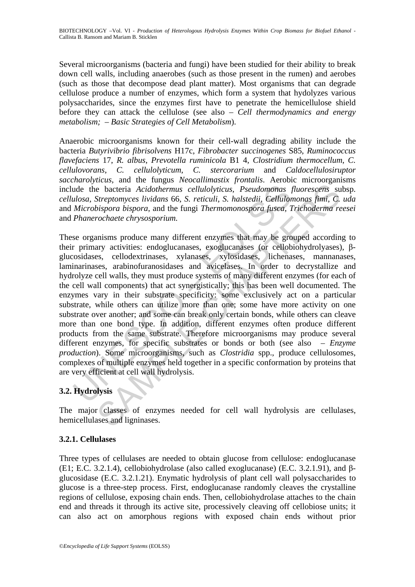Several microorganisms (bacteria and fungi) have been studied for their ability to break down cell walls, including anaerobes (such as those present in the rumen) and aerobes (such as those that decompose dead plant matter). Most organisms that can degrade cellulose produce a number of enzymes, which form a system that hydolyzes various polysaccharides, since the enzymes first have to penetrate the hemicellulose shield before they can attack the cellulose (see also – *Cell thermodynamics and energy metabolism; – Basic Strategies of Cell Metabolism*).

Anaerobic microorganisms known for their cell-wall degrading ability include the bacteria *Butyrivibrio fibrisolvens* H17c, *Fibrobacter succinogenes* S85, *Ruminococcus flavefaciens* 17, *R. albus*, *Prevotella ruminicola* B1 4, *Clostridium thermocellum*, *C. cellulovorans*, *C. cellulolyticum*, *C. stercorarium* and *Caldocellulosiruptor saccharolyticus*, and the fungus *Neocallimastix frontalis*. Aerobic microorganisms include the bacteria *Acidothermus cellulolyticus, Pseudomonas fluorescens* subsp. *cellulosa*, *Streptomyces lividans* 66, *S. reticuli*, *S. halstedii*, *Cellulomonas fimi*, *C. uda* and *Microbispora bispora*, and the fungi *Thermomonospora fusca*, *Trichoderma reesei* and *Phanerochaete chrysosporium.*

ude the bacteria *Acidothermus cellulolyticus*, *Pseudomonas ulosa*, *Streptomyces lividans* 66, *S. reticuli*, *S. halstedii*, *Cellulor Microbispora bispora*, and the fungi *Thermomonospora fusea*, *T Phanerochaete chr* **Example 18** and the function of the same statistic and intersection of the bacteria Acidothermus cellulolyticus, Pseudomonas fluorescens sus Streptomyces lividans 66, S. reticuli, S. halstedii, Cellulomonas finni, C. bisp These organisms produce many different enzymes that may be grouped according to their primary activities: endoglucanases, exoglucanases (or cellobiohydrolyases), βglucosidases, cellodextrinases, xylanases, xylosidases, lichenases, mannanases, laminarinases, arabinofuranosidases and avicelases. In order to decrystallize and hydrolyze cell walls, they must produce systems of many different enzymes (for each of the cell wall components) that act synergistically; this has been well documented. The enzymes vary in their substrate specificity: some exclusively act on a particular substrate, while others can utilize more than one; some have more activity on one substrate over another; and some can break only certain bonds, while others can cleave more than one bond type. In addition, different enzymes often produce different products from the same substrate. Therefore microorganisms may produce several different enzymes, for specific substrates or bonds or both (see also – *Enzyme production*). Some microorganisms, such as *Clostridia* spp., produce cellulosomes, complexes of multiple enzymes held together in a specific conformation by proteins that are very efficient at cell wall hydrolysis.

# **3.2. Hydrolysis**

The major classes of enzymes needed for cell wall hydrolysis are cellulases, hemicellulases and ligninases.

## **3.2.1. Cellulases**

Three types of cellulases are needed to obtain glucose from cellulose: endoglucanase (E1; E.C. 3.2.1.4), cellobiohydrolase (also called exoglucanase) (E.C. 3.2.1.91), and βglucosidase (E.C. 3.2.1.21). Enymatic hydrolysis of plant cell wall polysaccharides to glucose is a three-step process. First, endoglucanase randomly cleaves the crystalline regions of cellulose, exposing chain ends. Then, cellobiohydrolase attaches to the chain end and threads it through its active site, processively cleaving off cellobiose units; it can also act on amorphous regions with exposed chain ends without prior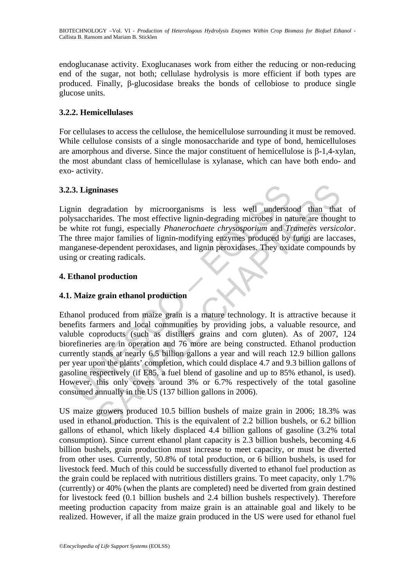endoglucanase activity. Exoglucanases work from either the reducing or non-reducing end of the sugar, not both; cellulase hydrolysis is more efficient if both types are produced. Finally, β-glucosidase breaks the bonds of cellobiose to produce single glucose units.

## **3.2.2. Hemicellulases**

For cellulases to access the cellulose, the hemicellulose surrounding it must be removed. While cellulose consists of a single monosaccharide and type of bond, hemicelluloses are amorphous and diverse. Since the major constituent of hemicellulose is β-1,4-xylan, the most abundant class of hemicellulase is xylanase, which can have both endo- and exo- activity.

## **3.2.3. Ligninases**

Lignin degradation by microorganisms is less well understood than that of polysaccharides. The most effective lignin-degrading microbes in nature are thought to be white rot fungi, especially *Phanerochaete chrysosporium* and *Trametes versicolor*. The three major families of lignin-modifying enzymes produced by fungi are laccases, manganese-dependent peroxidases, and lignin peroxidases. They oxidate compounds by using or creating radicals.

## **4. Ethanol production**

## **4.1. Maize grain ethanol production**

**3. Ligninases**<br>
in degradation by microorganisms is less well understo<br>
saccharides. The most effective lignin-degrading microbes in nat<br>
white rot fungi, especially *Phanerochaete chrysosporium* and The<br>
three major fam dinases<br>
gradation by microorganisms is less well understood than that<br>
rides. The most effective lignin-degrading microbes in nature are though<br>
or fungi, especially *Phanerochaete chrysosporium* and *Trametes versico*<br> Ethanol produced from maize grain is a mature technology. It is attractive because it benefits farmers and local communities by providing jobs, a valuable resource, and valuble coproducts (such as distillers grains and corn gluten). As of 2007, 124 biorefineries are in operation and 76 more are being constructed. Ethanol production currently stands at nearly 6.5 billion gallons a year and will reach 12.9 billion gallons per year upon the plants' completion, which could displace 4.7 and 9.3 billion gallons of gasoline respectively (if E85, a fuel blend of gasoline and up to 85% ethanol, is used). However, this only covers around 3% or 6.7% respectively of the total gasoline consumed annually in the US (137 billion gallons in 2006).

US maize growers produced 10.5 billion bushels of maize grain in 2006; 18.3% was used in ethanol production. This is the equivalent of 2.2 billion bushels, or 6.2 billion gallons of ethanol, which likely displaced 4.4 billion gallons of gasoline (3.2% total consumption). Since current ethanol plant capacity is 2.3 billion bushels, becoming 4.6 billion bushels, grain production must increase to meet capacity, or must be diverted from other uses. Currently, 50.8% of total production, or 6 billion bushels, is used for livestock feed. Much of this could be successfully diverted to ethanol fuel production as the grain could be replaced with nutritious distillers grains. To meet capacity, only 1.7% (currently) or 40% (when the plants are completed) need be diverted from grain destined for livestock feed (0.1 billion bushels and 2.4 billion bushels respectively). Therefore meeting production capacity from maize grain is an attainable goal and likely to be realized. However, if all the maize grain produced in the US were used for ethanol fuel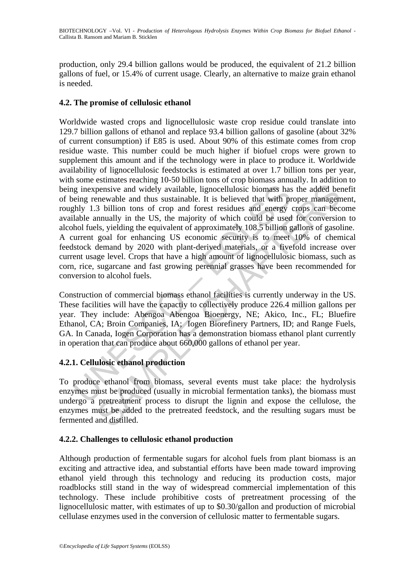production, only 29.4 billion gallons would be produced, the equivalent of 21.2 billion gallons of fuel, or 15.4% of current usage. Clearly, an alternative to maize grain ethanol is needed.

## **4.2. The promise of cellulosic ethanol**

ig inexpensive and widely available, lignocellulosic biomass has<br>eing renewable and thus sustainable. It is believed that with pr<br>hly 1.3 billion tons of crop and forest residues and energy dable annually in the US, the ma pensive and widely available, lignocellulosic biomass has the added benewable and thus sustainable. It is believed that with proper manager 3 billion tons of crop and forest residues and energy crops can been mually in the Worldwide wasted crops and lignocellulosic waste crop residue could translate into 129.7 billion gallons of ethanol and replace 93.4 billion gallons of gasoline (about 32% of current consumption) if E85 is used. About 90% of this estimate comes from crop residue waste. This number could be much higher if biofuel crops were grown to supplement this amount and if the technology were in place to produce it. Worldwide availability of lignocellulosic feedstocks is estimated at over 1.7 billion tons per year, with some estimates reaching 10-50 billion tons of crop biomass annually. In addition to being inexpensive and widely available, lignocellulosic biomass has the added benefit of being renewable and thus sustainable. It is believed that with proper management, roughly 1.3 billion tons of crop and forest residues and energy crops can become available annually in the US, the majority of which could be used for conversion to alcohol fuels, yielding the equivalent of approximately 108.5 billion gallons of gasoline. A current goal for enhancing US economic security is to meet 10% of chemical feedstock demand by 2020 with plant-derived materials, or a fivefold increase over current usage level. Crops that have a high amount of lignocellulosic biomass, such as corn, rice, sugarcane and fast growing perennial grasses have been recommended for conversion to alcohol fuels.

Construction of commercial biomass ethanol facilities is currently underway in the US. These facilities will have the capactiy to collectively produce 226.4 million gallons per year. They include: Abengoa Abengoa Bioenergy, NE; Akico, Inc., FL; Bluefire Ethanol, CA; Broin Companies, IA; Iogen Biorefinery Partners, ID; and Range Fuels, GA. In Canada, Iogen Corporation has a demonstration biomass ethanol plant currently in operation that can produce about 660,000 gallons of ethanol per year.

# **4.2.1. Cellulosic ethanol production**

To produce ethanol from biomass, several events must take place: the hydrolysis enzymes must be produced (usually in microbial fermentation tanks), the biomass must undergo a pretreatment process to disrupt the lignin and expose the cellulose, the enzymes must be added to the pretreated feedstock, and the resulting sugars must be fermented and distilled.

## **4.2.2. Challenges to cellulosic ethanol production**

Although production of fermentable sugars for alcohol fuels from plant biomass is an exciting and attractive idea, and substantial efforts have been made toward improving ethanol yield through this technology and reducing its production costs, major roadblocks still stand in the way of widespread commercial implementation of this technology. These include prohibitive costs of pretreatment processing of the lignocellulosic matter, with estimates of up to \$0.30/gallon and production of microbial cellulase enzymes used in the conversion of cellulosic matter to fermentable sugars.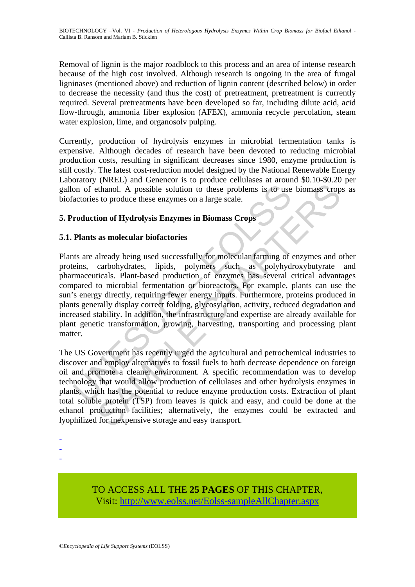Removal of lignin is the major roadblock to this process and an area of intense research because of the high cost involved. Although research is ongoing in the area of fungal ligninases (mentioned above) and reduction of lignin content (described below) in order to decrease the necessity (and thus the cost) of pretreatment, pretreatment is currently required. Several pretreatments have been developed so far, including dilute acid, acid flow-through, ammonia fiber explosion (AFEX), ammonia recycle percolation, steam water explosion, lime, and organosolv pulping.

Currently, production of hydrolysis enzymes in microbial fermentation tanks is expensive. Although decades of research have been devoted to reducing microbial production costs, resulting in significant decreases since 1980, enzyme production is still costly. The latest cost-reduction model designed by the National Renewable Energy Laboratory (NREL) and Genencor is to produce cellulases at around \$0.10-\$0.20 per gallon of ethanol. A possible solution to these problems is to use biomass crops as biofactories to produce these enzymes on a large scale.

## **5. Production of Hydrolysis Enzymes in Biomass Crops**

## **5.1. Plants as molecular biofactories**

on of ethanol. A possible solution to these problems is to use<br>actories to produce these enzymes on a large scale.<br> **Consecution of Hydrolysis Enzymes in Biomass Crops**<br> **Plants as molecular biofactories**<br> **EVALUATE:**<br> **EV** The thanol. A possible solution to these problems is to use biomass crop<br>sto produce these enzymes on a large scale.<br> **SAMPLE CHAPTERS COPPS**<br> **ASSOCITE:**<br> **ASSOCITE:**<br> **ASSOCITE:**<br> **ASSOCITE:**<br> **ASSOCITE:**<br> **ASSOCITE:**<br> Plants are already being used successfully for molecular farming of enzymes and other proteins, carbohydrates, lipids, polymers such as polyhydroxybutyrate and pharmaceuticals. Plant-based production of enzymes has several critical advantages compared to microbial fermentation or bioreactors. For example, plants can use the sun's energy directly, requiring fewer energy inputs. Furthermore, proteins produced in plants generally display correct folding, glycosylation, activity, reduced degradation and increased stability. In addition, the infrastructure and expertise are already available for plant genetic transformation, growing, harvesting, transporting and processing plant matter.

The US Government has recently urged the agricultural and petrochemical industries to discover and employ alternatives to fossil fuels to both decrease dependence on foreign oil and promote a cleaner environment. A specific recommendation was to develop technology that would allow production of cellulases and other hydrolysis enzymes in plants, which has the potential to reduce enzyme production costs. Extraction of plant total soluble protein (TSP) from leaves is quick and easy, and could be done at the ethanol production facilities; alternatively, the enzymes could be extracted and lyophilized for inexpensive storage and easy transport.

- -
- -
- -

TO ACCESS ALL THE **25 PAGES** OF THIS CHAPTER, Visit: [http://www.eolss.net/Eolss-sampleAllChapter.aspx](https://www.eolss.net/ebooklib/sc_cart.aspx?File=E6-58-05-13)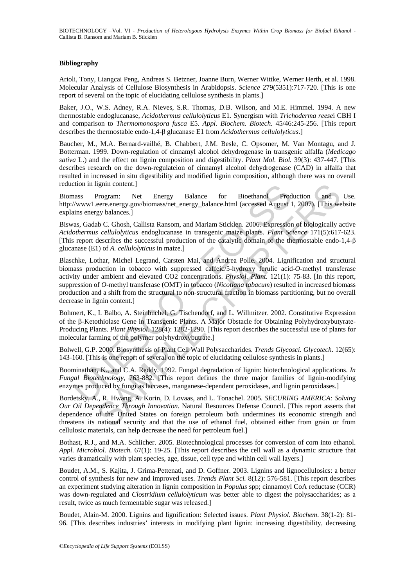#### **Bibliography**

Arioli, Tony, Liangcai Peng, Andreas S. Betzner, Joanne Burn, Werner Wittke, Werner Herth, et al. 1998. Molecular Analysis of Cellulose Biosynthesis in Arabidopsis. *Science* 279(5351):717-720. [This is one report of several on the topic of elucidating cellulose synthesis in plants.]

Baker, J.O., W.S. Adney, R.A. Nieves, S.R. Thomas, D.B. Wilson, and M.E. Himmel. 1994. A new thermostable endoglucanase, *Acidothermus cellulolyticus* E1. Synergism with *Trichoderma reese*i CBH I and comparison to *Thermomonospora fusca* E5. *Appl. Biochem. Biotech.* 45/46:245-256. [This report describes the thermostable endo-1,4-β glucanase E1 from *Acidothermus cellulolyticus*.]

Baucher, M., M.A. Bernard-vailhé, B. Chabbert, J.M. Besle, C. Opsomer, M. Van Montagu, and J. Botterman. 1999. Down-regulation of cinnamyl alcohol dehydrogenase in transgenic alfalfa (*Medicago sativa* L.) and the effect on lignin composition and digestibility. *Plant Mol. Biol.* 39(3): 437-447. [This describes research on the down-regulateion of cinnamyl alcohol dehydrogenase (CAD) in alfalfa that resulted in increased in situ digestibility and modified lignin composition, although there was no overall reduction in lignin content.]

Biomass Program: Net Energy Balance for Bioethanol Production and Use. http://www1.eere.energy.gov/biomass/net\_energy\_balance.html (accessed August 1, 2007). [This website explains energy balances.]

Biswas, Gadab C. Ghosh, Callista Ransom, and Mariam Sticklen. 2006. Expression of biologically active *Acidothermus cellulolyticus* endoglucanase in transgenic maize plants. *Plant Science* 171(5):617-623. [This report describes the successful production of the catalytic domain of the thermostable endo-1,4-β glucanase (E1) of *A. cellulolyticus* in maize.]

chass Program: Net Energy Balance for Bioethanol Production in ignin content.]<br>
Maxwal.cere.energy.gov/biomass/net\_energy\_balance.html (accessed August 1<br>
My www l.eere.energy.gov/biomass/net\_energy\_balance.html (accessed ignin content.]<br>
Net Energy Balance for Bioethanol Production and<br>
Program: Net Energy Balance for Bioethanol Production and<br>
necre.energy.gov/biomass/net\_energy\_balance.html (accessed August 1, 2007). [This we<br>
gy balance Blaschke, Lothar, Michel Legrand, Carsten Mai, and Andrea Polle. 2004. Lignification and structural biomass production in tobacco with suppressed caffeic/5-hydroxy ferulic acid-*O*-methyl transferase activity under ambient and elevated CO2 concentrations. *Physiol. Plant.* 121(1): 75-83. [In this report, suppression of *O*-methyl transferase (OMT) in tobacco (*Nicotiana tabacum*) resulted in increased biomass production and a shift from the structural to non-structural fraction in biomass partitioning, but no overall decrease in lignin content.]

Bohmert, K., I. Balbo, A. Steinbuchel, G. Tischendorf, and L. Willmitzer. 2002. Constitutive Expression of the β-Ketothiolase Gene in Transgenic Plants. A Major Obstacle for Obtaining Polyhydroxybutyrate-Producing Plants. *Plant Physiol*. 128(4): 1282-1290. [This report describes the successful use of plants for molecular farming of the polymer polyhydroxybutrate.]

Bolwell, G.P. 2000. Biosynthesis of Plant Cell Wall Polysaccharides. *Trends Glycosci. Glycotech*. 12(65): 143-160. [This is one report of several on the topic of elucidating cellulose synthesis in plants.]

Boominathan, K., and C.A. Reddy. 1992. Fungal degradation of lignin: biotechnological applications. *In Fungal Biotechnology*, 763-882. [This report defines the three major families of lignin-modifying enzymes produced by fungi as laccases, manganese-dependent peroxidases, and lignin peroxidases.]

Bordetsky, A., R. Hwang, A. Korin, D. Lovaas, and L. Tonachel. 2005. *SECURING AMERICA: Solving Our Oil Dependence Through Innovation*. Natural Resources Defense Council. [This report asserts that dependence of the United States on foreign petroleum both undermines its economic strength and threatens its national security and that the use of ethanol fuel, obtained either from grain or from cellulosic materials, can help decrease the need for petroleum fuel.]

Bothast, R.J., and M.A. Schlicher. 2005. Biotechnological processes for conversion of corn into ethanol. *Appl. Microbiol. Biotech*. 67(1): 19-25. [This report describes the cell wall as a dynamic structure that varies dramatically with plant species, age, tissue, cell type and within cell wall layers.]

Boudet, A.M., S. Kajita, J. Grima-Pettenati, and D. Goffner. 2003. Lignins and lignocellulosics: a better control of synthesis for new and improved uses. *Trends Plant Sci.* 8(12): 576-581. [This report describes an experiment studying alteration in lignin composition in *Populus* spp; cinnamoyl CoA reductase (CCR) was down-regulated and *Clostridium cellulolyticum* was better able to digest the polysaccharides; as a result, twice as much fermentable sugar was released.]

Boudet, Alain-M. 2000. Lignins and lignification: Selected issues. *Plant Physiol. Biochem*. 38(1-2): 81- 96. [This describes industries' interests in modifying plant lignin: increasing digestibility, decreasing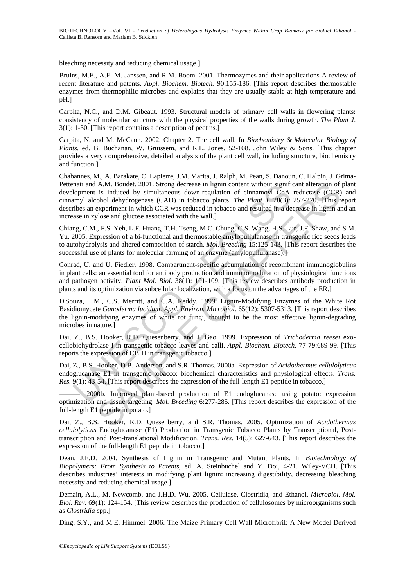bleaching necessity and reducing chemical usage.]

Bruins, M.E., A.E. M. Janssen, and R.M. Boom. 2001. Thermozymes and their applications-A review of recent literature and patents. *Appl. Biochem. Biotech.* 90:155-186. [This report describes thermostable enzymes from thermophilic microbes and explains that they are usually stable at high temperature and pH.]

Carpita, N.C., and D.M. Gibeaut. 1993. Structural models of primary cell walls in flowering plants: consistency of molecular structure with the physical properties of the walls during growth. *The Plant J*. 3(1): 1-30. [This report contains a description of pectins.]

Carpita, N. and M. McCann. 2002. Chapter 2. The cell wall. In *Biochemistry & Molecular Biology of Plants*, ed. B. Buchanan, W. Gruissem, and R.L. Jones, 52-108. John Wiley & Sons. [This chapter provides a very comprehensive, detailed analysis of the plant cell wall, including structure, biochemistry and function.]

mat and A.M. Bouch. 2001. Strong decrease in lignin content without signition<br>lopment is induced by simultaneous down-regulation of cinamoyl CoA<br>myl alcohol dehydrogenase (CAD) in tobacco plants. The Plant J. 28(3):<br>these A.M. Boudet. 2001. Strong decrease in ligain content without significant alteration of<br>
is induced by simultaneous down-regulation of cimanoyl GoA reductase (CGR)<br>
ois induced by simultaneous down-regulation of cimanoyl G Chabannes, M., A. Barakate, C. Lapierre, J.M. Marita, J. Ralph, M. Pean, S. Danoun, C. Halpin, J. Grima-Pettenati and A.M. Boudet. 2001. Strong decrease in lignin content without significant alteration of plant development is induced by simultaneous down-regulation of cinnamoyl CoA reductase (CCR) and cinnamyl alcohol dehydrogenase (CAD) in tobacco plants. *The Plant J.* 28(3): 257-270. [This report describes an experiment in which CCR was reduced in tobacco and resulted in a decrease in lignin and an increase in xylose and glucose associated with the wall.]

Chiang, C.M., F.S. Yeh, L.F. Huang, T.H. Tseng, M.C. Chung, C.S. Wang, H.S. Lur, J.F. Shaw, and S.M. Yu. 2005. Expression of a bi-functional and thermostable amylopullulanase in transgenic rice seeds leads to autohydrolysis and altered composition of starch. *Mol. Breeding* 15:125-143. [This report describes the successful use of plants for molecular farming of an enzyme (amylopullulanase).]

Conrad, U. and U. Fiedler. 1998. Compartment-specific accumulation of recombinant immunoglobulins in plant cells: an essential tool for antibody production and immunomodulation of physiological functions and pathogen activity. *Plant Mol. Biol*. 38(1): 101-109. [This review describes antibody production in plants and its optimization via subcellular localization, with a focus on the advantages of the ER.]

D'Souza, T.M., C.S. Merritt, and C.A. Reddy. 1999. Lignin-Modifying Enzymes of the White Rot Basidiomycete *Ganoderma lucidum*. *Appl. Environ. Microbiol*. 65(12): 5307-5313. [This report describes the lignin-modifying enzymes of white rot fungi, thought to be the most effective lignin-degrading microbes in nature.<sup>1</sup>

Dai, Z., B.S. Hooker, R.D. Quesenberry, and J. Gao. 1999. Expression of *Trichoderma reesei* exocellobiohydrolase I in transgenic tobacco leaves and calli. *Appl. Biochem. Biotech*. 77-79:689-99. [This reports the expression of CBHI in transgenic tobacco.]

Dai, Z., B.S. Hooker, D.B. Anderson, and S.R. Thomas. 2000a. Expression of *Acidothermus cellulolyticus* endoglucanase E1 in transgenic tobacco: biochemical characteristics and physiological effects. *Trans. Res.* 9(1): 43-54. [This report describes the expression of the full-length E1 peptide in tobacco.]

———. 2000b. Improved plant-based production of E1 endoglucanase using potato: expression optimization and tissue targeting. *Mol. Breeding* 6:277-285. [This report describes the expression of the full-length E1 peptide in potato.]

Dai, Z., B.S. Hooker, R.D. Quesenberry, and S.R. Thomas. 2005. Optimization of *Acidothermus cellulolyticus* Endoglucanase (E1) Production in Transgenic Tobacco Plants by Transcriptional, Posttranscription and Post-translational Modification. *Trans. Res*. 14(5): 627-643. [This report describes the expression of the full-length E1 peptide in tobacco.]

Dean, J.F.D. 2004. Synthesis of Lignin in Transgenic and Mutant Plants. In *Biotechnology of Biopolymers: From Synthesis to Patents*, ed. A. Steinbuchel and Y. Doi, 4-21. Wiley-VCH. [This describes industries' interests in modifying plant lignin: increasing digestibility, decreasing bleaching necessity and reducing chemical usage.]

Demain, A.L., M. Newcomb, and J.H.D. Wu. 2005. Cellulase, Clostridia, and Ethanol. *Microbiol. Mol. Biol. Rev.* 69(1): 124-154. [This review describes the production of cellulosomes by microorganisms such as *Clostridia* spp.]

Ding, S.Y., and M.E. Himmel. 2006. The Maize Primary Cell Wall Microfibril: A New Model Derived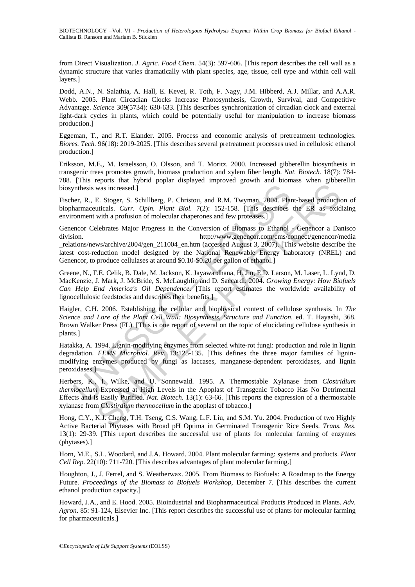from Direct Visualization. *J. Agric. Food Chem.* 54(3): 597-606. [This report describes the cell wall as a dynamic structure that varies dramatically with plant species, age, tissue, cell type and within cell wall layers.]

Dodd, A.N., N. Salathia, A. Hall, E. Kevei, R. Toth, F. Nagy, J.M. Hibberd, A.J. Millar, and A.A.R. Webb. 2005. Plant Circadian Clocks Increase Photosynthesis, Growth, Survival, and Competitive Advantage. *Science* 309(5734): 630-633. [This describes synchronization of circadian clock and external light-dark cycles in plants, which could be potentially useful for manipulation to increase biomass production.]

Eggeman, T., and R.T. Elander. 2005. Process and economic analysis of pretreatment technologies. *Biores. Tech.* 96(18): 2019-2025. [This describes several pretreatment processes used in cellulosic ethanol production.]

Eriksson, M.E., M. Israelsson, O. Olsson, and T. Moritz. 2000. Increased gibberellin biosynthesis in transgenic trees promotes growth, biomass production and xylem fiber length. *Nat. Biotech.* 18(7): 784- 788. [This reports that hybrid poplar displayed improved growth and biomass when gibberellin biosynthesis was increased.]

Fischer, R., E. Stoger, S. Schillberg, P. Christou, and R.M. Twyman. 2004. Plant-based production of biopharmaceuticals. *Curr. Opin. Plant Biol.* 7(2): 152-158. [This describes the ER as oxidizing environment with a profusion of molecular chaperones and few proteases.]

Thesis was increased.]<br>
Ther, R., E. Stoger, S. Schillberg, P. Christou, and R.M. Twyman. 2004. Planarmaceuticals. *Curr. Opin. Plant Biol.* 7(2): 152-158. [This describes<br>
comment with a profusion of molecular chaperones was increased.]<br>
E. Stoger, S. Schillberg, P. Christon, and R.M. Twyman. 2004. Plant-based production<br>
unitable. Start. Opin. Plant. Biol. 7(2): 152-158. [This describes the ER as oxid<br>
ultimated and the profession of mole Genencor Celebrates Major Progress in the Conversion of Biomass to Ethanol - Genencor a Danisco division. http://www.genencor.com/cms/connect/genencor/media relations/news/archive/2004/gen\_211004\_en.htm (accessed August 3, 2007). [This website describe the latest cost-reduction model designed by the National Renewable Energy Laboratory (NREL) and Genencor, to produce cellulases at around \$0.10-\$0.20 per gallon of ethanol.]

Greene, N., F.E. Celik, B. Dale, M. Jackson, K. Jayawardhana, H. Jin, E.D. Larson, M. Laser, L. Lynd, D. MacKenzie, J. Mark, J. McBride, S. McLaughlin and D. Saccardi. 2004. *Growing Energy: How Biofuels Can Help End America's Oil Dependence*. [This report estimates the worldwide availability of lignocellulosic feedstocks and describes their benefits.]

Haigler, C.H. 2006. Establishing the cellular and biophysical context of cellulose synthesis. In *The Science and Lore of the Plant Cell Wall: Biosynthesis, Structure and Function*. ed. T. Hayashi, 368. Brown Walker Press (FL). [This is one report of several on the topic of elucidating cellulose synthesis in plants.]

Hatakka, A. 1994. Lignin-modifying enzymes from selected white-rot fungi: production and role in lignin degradation. *FEMS Microbiol. Rev*. 13:125-135. [This defines the three major families of ligninmodifying enzymes produced by fungi as laccases, manganese-dependent peroxidases, and lignin peroxidases.]

Herbers, K., I. Wilke, and U. Sonnewald. 1995. A Thermostable Xylanase from *Clostridium thermocellum* Expressed at High Levels in the Apoplast of Transgenic Tobacco Has No Detrimental Effects and Is Easily Purified. *Nat. Biotech.* 13(1): 63-66. [This reports the expression of a thermostable xylanase from *Clostirdium thermocellum* in the apoplast of tobacco.]

Hong, C.Y., K.J. Cheng, T.H. Tseng, C.S. Wang, L.F. Liu, and S.M. Yu. 2004. Production of two Highly Active Bacterial Phytases with Broad pH Optima in Germinated Transgenic Rice Seeds. *Trans. Res*. 13(1): 29-39. [This report describes the successful use of plants for molecular farming of enzymes (phytases).]

Horn, M.E., S.L. Woodard, and J.A. Howard. 2004. Plant molecular farming: systems and products. *Plant Cell Rep*. 22(10): 711-720. [This describes advantages of plant molecular farming.]

Houghton, J., J. Ferrel, and S. Weatherwax. 2005. From Biomass to Biofuels: A Roadmap to the Energy Future. *Proceedings of the Biomass to Biofuels Workshop*, December 7. [This describes the current ethanol production capacity.]

Howard, J.A., and E. Hood. 2005. Bioindustrial and Biopharmaceutical Products Produced in Plants. *Adv. Agron*. 85: 91-124, Elsevier Inc. [This report describes the successful use of plants for molecular farming for pharmaceuticals.]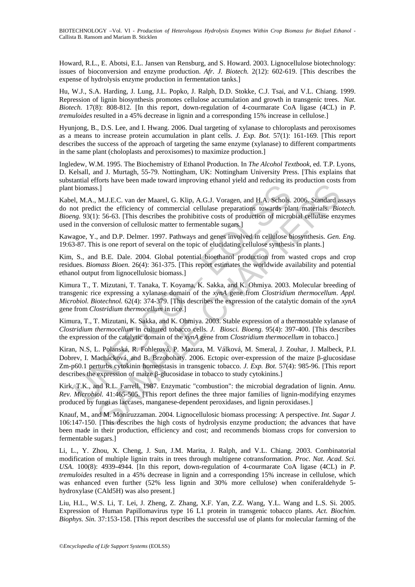Howard, R.L., E. Abotsi, E.L. Jansen van Rensburg, and S. Howard. 2003. Lignocellulose biotechnology: issues of bioconversion and enzyme production. *Afr. J. Biotech.* 2(12): 602-619. [This describes the expense of hydrolysis enzyme production in fermentation tanks.]

Hu, W.J., S.A. Harding, J. Lung, J.L. Popko, J. Ralph, D.D. Stokke, C.J. Tsai, and V.L. Chiang. 1999. Repression of lignin biosynthesis promotes cellulose accumulation and growth in transgenic trees. *Nat. Biotech.* 17(8): 808-812. [In this report, down-regulation of 4-courmarate CoA ligase (4CL) in *P. tremuloides* resulted in a 45% decrease in lignin and a corresponding 15% increase in cellulose.]

Hyunjong, B., D.S. Lee, and I. Hwang. 2006. Dual targeting of xylanase to chloroplasts and peroxisomes as a means to increase protein accumulation in plant cells. *J. Exp. Bot.* 57(1): 161-169. [This report describes the success of the approach of targeting the same enzyme (xylanase) to different compartments in the same plant (choloplasts and peroxisomes) to maximize production.]

Ingledew, W.M. 1995. The Biochemistry of Ethanol Production. In *The Alcohol Textbook*, ed. T.P. Lyons, D. Kelsall, and J. Murtagh, 55-79. Nottingham, UK: Nottingham University Press. [This explains that substantial efforts have been made toward improving ethanol yield and reducing its production costs from plant biomass.]

Kabel, M.A., M.J.E.C. van der Maarel, G. Klip, A.G.J. Voragen, and H.A. Schols. 2006. Standard assays do not predict the efficiency of commercial cellulase preparations towards plant materials. *Biotech. Bioeng.* 93(1): 56-63. [This describes the prohibitive costs of production of microbial cellulase enzymes used in the conversion of cellulosic matter to fermentable sugars.]

Kawagoe, Y., and D.P. Delmer. 1997. Pathways and genes involved in cellulose biosynthesis. *Gen. Eng*. 19:63-87. This is one report of several on the topic of elucidating cellulose synthesis in plants.]

Kim, S., and B.E. Dale. 2004. Global potential bioethanol production from wasted crops and crop residues. *Biomass Bioen.* 26(4): 361-375. [This report estimates the worldwide availability and potential ethanol output from lignocellulosic biomass.]

Kimura T., T. Mizutani, T. Tanaka, T. Koyama, K. Sakka, and K. Ohmiya. 2003. Molecular breeding of transgenic rice expressing a xylanase domain of the *xynA* gene from *Clostridium thermocellum*. *Appl. Microbiol. Biotechnol.* 62(4): 374-379. [This describes the expression of the catalytic domain of the *xynA* gene from *Clostridium thermocellum* in rice.]

Kimura, T., T. Mizutani, K. Sakka, and K. Ohmiya. 2003. Stable expression of a thermostable xylanase of *Clostridium thermocellum* in cultured tobacco cells. *J. Biosci. Bioeng*. 95(4): 397-400. [This describes the expression of the catalytic domain of the *xynA* gene from *Clostridium thermocellum* in tobacco.]

biomass.]<br>
el, M.A., M.J.E.C. van der Maarel, G. Klip, A.G.J. Voragen, and H.A. Schols,<br>
ot predict the efficiency of commercial celluluse preparations towards pla<br>
in the conversion of cellulosic matter to fermentable su S.]<br>
M.J.E.C. van der Maarel, G. Klip, A.G.J. Voragen, and H.A. Schols. 2006. Standard at<br>
et the efficiency of commercial cellulase erpeatatios towards plant materials. *Bioo*<br>
1: 56-63. [This describes the probibitive co Kiran, N.S, L. Polanská, R. Fohlerová, P. Mazura, M. Válková, M. Smeral, J. Zouhar, J. Malbeck, P.I. Dobrev, I. Machácková, and B. Brzobohaty. 2006. Ectopic over-expression of the maize β-glucosidase Zm-p60.1 perturbs cytokinin homeostasis in transgenic tobacco. *J. Exp. Bot.* 57(4): 985-96. [This report describes the expression of maize β-glucosidase in tobacco to study cytokinins.]

Kirk, T.K., and R.L. Farrell. 1987. Enzymatic "combustion": the microbial degradation of lignin. *Annu. Rev. Microbiol.* 41:465-505. [This report defines the three major families of lignin-modifying enzymes produced by fungi as laccases, manganese-dependent peroxidases, and lignin peroxidases.]

Knauf, M., and M. Moniruzzaman. 2004. Lignocellulosic biomass processing: A perspective. *Int. Sugar J.* 106:147-150. [This describes the high costs of hydrolysis enzyme production; the advances that have been made in their production, efficiency and cost; and recommends biomass crops for conversion to fermentable sugars.]

Li, L., Y. Zhou, X. Cheng, J. Sun, J.M. Marita, J. Ralph, and V.L. Chiang. 2003. Combinatorial modification of multiple lignin traits in trees through multigene cotransformation. *Proc. Nat. Acad. Sci. USA*. 100(8): 4939-4944. [In this report, down-regulation of 4-courmarate CoA ligase (4CL) in *P. tremuloides* resulted in a 45% decrease in lignin and a corresponding 15% increase in cellulose, which was enhanced even further (52% less lignin and 30% more cellulose) when coniferaldehyde 5 hydroxylase (CAld5H) was also present.]

Liu, H.L., W.S. Li, T. Lei, J. Zheng, Z. Zhang, X.F. Yan, Z.Z. Wang, Y.L. Wang and L.S. Si. 2005. Expression of Human Papillomavirus type 16 L1 protein in transgenic tobacco plants. *Act. Biochim. Biophys. Sin.* 37:153-158. [This report describes the successful use of plants for molecular farming of the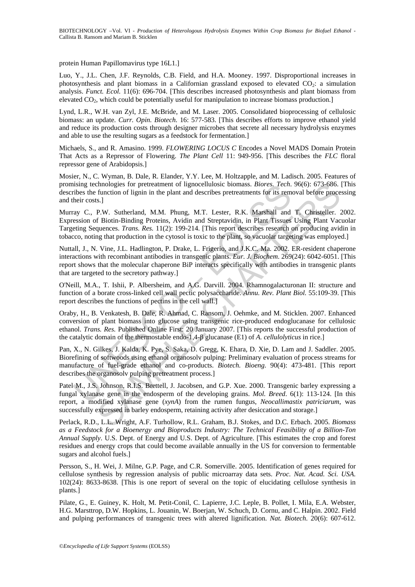protein Human Papillomavirus type 16L1.]

Luo, Y., J.L. Chen, J.F. Reynolds, C.B. Field, and H.A. Mooney. 1997. Disproportional increases in photosynthesis and plant biomass in a Californian grassland exposed to elevated  $CO<sub>2</sub>$ : a simulation analysis. *Funct. Ecol.* 11(6): 696-704. [This describes increased photosynthesis and plant biomass from elevated  $CO<sub>2</sub>$ , which could be potentially useful for manipulation to increase biomass production.]

Lynd, L.R., W.H. van Zyl, J.E. McBride, and M. Laser. 2005. Consolidated bioprocessing of cellulosic biomass: an update. *Curr. Opin. Biotech*. 16: 577-583. [This describes efforts to improve ethanol yield and reduce its production costs through designer microbes that secrete all necessary hydrolysis enzymes and able to use the resulting sugars as a feedstock for fermentation.]

Michaels, S., and R. Amasino. 1999. *FLOWERING LOCUS C* Encodes a Novel MADS Domain Protein That Acts as a Repressor of Flowering. *The Plant Cell* 11: 949-956. [This describes the *FLC* floral repressor gene of Arabidopsis.]

Mosier, N., C. Wyman, B. Dale, R. Elander, Y.Y. Lee, M. Holtzapple, and M. Ladisch. 2005. Features of promising technologies for pretreatment of lignocellulosic biomass. *Biores. Tech*. 96(6): 673-686. [This describes the function of lignin in the plant and describes pretreatments for its removal before processing and their costs.]

using technologies for pretreatment of Ignocellulosic biomass. *Biores, Iech*.<br>
riches the function of lignin in the plant and describes pretreatments for its rem<br>
heir costs.]<br>
ay C., P.W. Sutherland, M.M. Phung, M.T. Les chnologis for pretreatment of lignocellulosic biomass. *Biores, Tech.* 9666: 673-686.<br>
function of lignin in the plant and describes pretreatments for its removal before proce<br>
Is.]<br>
S.]<br>
N. Sutherland, M.M. Phung, M.T. L Murray C., P.W. Sutherland, M.M. Phung, M.T. Lester, R.K. Marshall and T. Christeller. 2002. Expression of Biotin-Binding Proteins, Avidin and Streptavidin, in Plant Tissues Using Plant Vacuolar Targeting Sequences. *Trans. Res.* 11(2): 199-214. [This report describes research on producing avidin in tobacco, noting that production in the cytosol is toxic to the plant, so vacuolar targeting was employed.]

Nuttall, J., N. Vine, J.L. Hadlington, P. Drake, L. Frigerio, and J.K.C. Ma. 2002. ER-resident chaperone interactions with recombinant antibodies in transgenic plants. *Eur. J. Biochem*. 269(24): 6042-6051. [This report shows that the molecular chaperone BiP interacts specifically with antibodies in transgenic plants that are targeted to the secretory pathway.]

O'Neill, M.A., T. Ishii, P. Albersheim, and A.G. Darvill. 2004. Rhamnogalacturonan II: structure and function of a borate cross-linked cell wall pectic polysaccharide. *Annu. Rev. Plant Biol.* 55:109-39. [This report describes the functions of pectins in the cell wall.]

Oraby, H., B. Venkatesh, B. Dale, R. Ahmad, C. Ransom, J. Oehmke, and M. Sticklen. 2007. Enhanced conversion of plant biomass into glucose using transgenic rice-produced endoglucanase for cellulosic ethanol. *Trans. Res.* Published Online First: 20 January 2007. [This reports the successful production of the catalytic domain of the thermostable endo-1,4-β glucanase (E1) of *A. cellulolyticus* in rice.]

Pan, X., N. Gilkes, J. Kalda, K. Pye, S. Saka, D. Gregg, K. Ehara, D. Xie, D. Lam and J. Saddler. 2005. Biorefining of softwoods using ethanol organosolv pulping: Preliminary evaluation of process streams for manufacture of fuel-grade ethanol and co-products. *Biotech. Bioeng*. 90(4): 473-481. [This report describes the organosolv pulping pretreatment process.]

Patel M., J.S. Johnson, R.I.S. Brettell, J. Jacobsen, and G.P. Xue. 2000. Transgenic barley expressing a fungal xylanase gene in the endosperm of the developing grains. *Mol. Breed*. 6(1): 113-124. [In this report, a modified xylanase gene (*xynA*) from the rumen fungus, *Neocallimastix patriciarum*, was successfully expressed in barley endosperm, retaining activity after desiccation and storage.]

Perlack, R.D., L.L. Wright, A.F. Turhollow, R.L. Graham, B.J. Stokes, and D.C. Erbach. 2005. *Biomass as a Feedstock for a Bioenergy and Bioproducts Industry: The Technical Feasibility of a Billion-Ton Annual Supply*. U.S. Dept. of Energy and U.S. Dept. of Agriculture. [This estimates the crop and forest residues and energy crops that could become available annually in the US for conversion to fermentable sugars and alcohol fuels.]

Persson, S., H. Wei, J. Milne, G.P. Page, and C.R. Somerville. 2005. Identification of genes required for cellulose synthesis by regression analysis of public microarray data sets. *Proc. Nat. Acad. Sci. USA*. 102(24): 8633-8638. [This is one report of several on the topic of elucidating cellulose synthesis in plants.]

Pilate, G., E. Guiney, K. Holt, M. Petit-Conil, C. Lapierre, J.C. Leple, B. Pollet, I. Mila, E.A. Webster, H.G. Marsttrop, D.W. Hopkins, L. Jouanin, W. Boerjan, W. Schuch, D. Cornu, and C. Halpin. 2002. Field and pulping performances of transgenic trees with altered lignification. *Nat. Biotech*. 20(6): 607-612.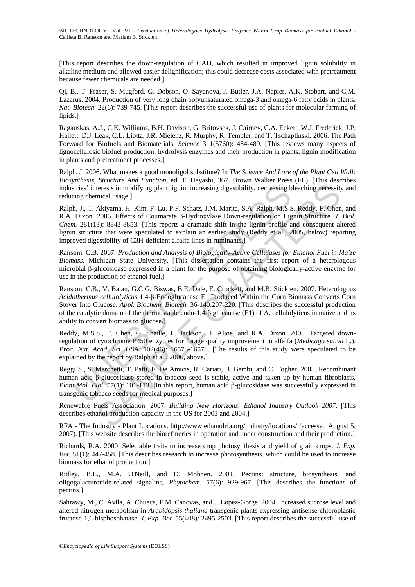[This report describes the down-regulation of CAD, which resulted in improved lignin solubility in alkaline medium and allowed easier delignification; this could decrease costs associated with pretreatment because fewer chemicals are needed.]

Qi, B., T. Fraser, S. Mugford, G. Dobson, O. Sayanova, J. Butler, J.A. Napier, A.K. Stobart, and C.M. Lazarus. 2004. Production of very long chain polyunsaturated omega-3 and omega-6 fatty acids in plants. *Nat. Biotech.* 22(6): 739-745. [This report describes the successful use of plants for molecular farming of lipids.]

Ragauskas, A.J., C.K. Williams, B.H. Davison, G. Britovsek, J. Cairney, C.A. Eckert, W.J. Frederick, J.P. Hallett, D.J. Leak, C.L. Liotta, J.R. Mielenz, R. Murphy, R. Templer, and T. Tschaplinski. 2006. The Path Forward for Biofuels and Biomaterials. *Science* 311(5760): 484-489. [This reviews many aspects of lignocellulosic biofuel production: hydrolysis enzymes and their production in plants, lignin modification in plants and pretreatment processes.]

Ralph, J. 2006. What makes a good monoligol substitute? In *The Science And Lore of the Plant Cell Wall: Biosynthesis, Structure And Function*, ed. T. Hayashi, 367. Brown Walker Press (FL). [This describes industries' interests in modifying plant lignin: increasing digestibility, decreasing bleaching necessity and reducing chemical usage.]

stries' interests in modifying plant lignin: increasing digestibility, decreasing b<br>cing chemical usage.]<br>D., T. Akiyama, H. Kim, F. Lu, P.F. Schatz, J.M. Marita, S.A. Ralph, M.S.<br>D. D.N.O. 2006. Effects of Coumarate 3-Hy terests in modifying plant lignin: increasing digestibility, decreasing bleaching necessity<br>incial usage.)<br>mical usage.)<br>mical usage.)<br>Maxigana, H. Kim, F. Lu, P.F. Schatz, J.M. Marita, S.A. Ralph, M.S.S. Reddy, F. Chen<br>Ab Ralph, J., T. Akiyama, H. Kim, F. Lu, P.F. Schatz, J.M. Marita, S.A. Ralph, M.S.S. Reddy, F. Chen, and R.A. Dixon. 2006. Effects of Coumarate 3-Hydroxylase Down-regulation on Lignin Structure. *J. Biol. Chem.* 281(13): 8843-8853. [This reports a dramatic shift in the lignin profile and consequent altered lignin structure that were speculated to explain an earlier study (Reddy et al., 2005, below) reporting improved digestibility of C3H-deficient alfalfa lines in ruminants.]

Ransom, C.B. 2007. *Production and Analysis of Biologically-Active Cellulases for Ethanol Fuel in Maize Biomass.* Michigan State University. [This dissertation contains the first report of a heterologous microbial β-glucosidase expressed in a plant for the purpose of obtaining biologically-active enzyme for use in the production of ethanol fuel.]

Ransom, C.B., V. Balan, G.C.G. Biswas, B.E. Dale, E. Crockett, and M.B. Sticklen. 2007. Heterologous *Acidothermus cellulolyticus* 1,4-β-Endoglucanase E1 Produced Within the Corn Biomass Converts Corn Stover Into Glucose. *Appl. Biochem. Biotech.* 36-140:207-220. [This describes the successful production of the catalytic domain of the thermostable endo-1,4-β glucanase (E1) of A. cellulolyticus in maize and its ability to convert biomass to glucose.]

Reddy, M.S.S., F. Chen, G. Shadle, L. Jackson, H. Aljoe, and R.A. Dixon. 2005. Targeted downregulation of cytochrome P450 enzymes for forage quality improvement in alfalfa (*Medicago sativa* L.). *Proc. Nat. Acad. Sci. USA*. 102(46): 16573-16578. [The results of this study were speculated to be explained by the report by Ralph et al., 2006, above.]

Reggi S., S. Marchetti, T. Patti, F. De Amicis, R. Cariati, B. Bembi, and C. Fogher. 2005. Recombinant human acid β-glucosidase stored in tobacco seed is stable, active and taken up by human fibroblasts. *Plant Mol. Biol.* 57(1): 101-113. [In this report, human acid β-glucosidase was successfully expressed in transgenic tobacco seeds for medical purposes.]

Renewable Fuels Association. 2007. *Building New Horizons: Ethanol Industry Outlook 2007*. [This describes ethanol production capacity in the US for 2003 and 2004.]

RFA - The Industry - Plant Locations. http://www.ethanolrfa.org/industry/locations/ (accessed August 5, 2007). [This website describes the biorefineries in operation and under construction and their production.]

Richards, R.A. 2000. Selectable traits to increase crop photosynthesis and yield of grain crops. *J. Exp. Bot*. 51(1): 447-458. [This describes research to increase photosynthesis, which could be used to increase biomass for ethanol production.]

Ridley, B.L., M.A. O'Neill, and D. Mohnen. 2001. Pectins: structure, biosynthesis, and oligogalacturonide-related signaling. *Phytochem.* 57(6): 929-967. [This describes the functions of pectins.]

Sahrawy, M., C. Avila, A. Chueca, F.M. Canovas, and J. Lopez-Gorge. 2004. Increased sucrose level and altered nitrogen metabolism in *Arabidopsis thaliana* transgenic plants expressing antisense chloroplastic fructose-1,6-bisphosphatase*. J. Exp. Bot*. 55(408): 2495-2503. [This report describes the successful use of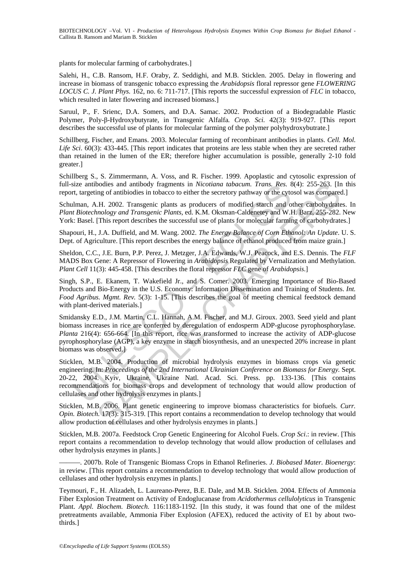plants for molecular farming of carbohydrates.]

Salehi, H., C.B. Ransom, H.F. Oraby, Z. Seddighi, and M.B. Sticklen. 2005. Delay in flowering and increase in biomass of transgenic tobacco expressing the *Arabidopsis* floral repressor gene *FLOWERING LOCUS C. J. Plant Phys.* 162, no. 6: 711-717. [This reports the successful expression of *FLC* in tobacco, which resulted in later flowering and increased biomass.]

Saruul, P., F. Srienc, D.A. Somers, and D.A. Samac. 2002. Production of a Biodegradable Plastic Polymer, Poly-β-Hydroxybutyrate, in Transgenic Alfalfa*. Crop. Sci.* 42(3): 919-927. [This report describes the successful use of plants for molecular farming of the polymer polyhydroxybutrate.]

Schillberg, Fischer, and Emans. 2003. Molecular farming of recombinant antibodies in plants. *Cell. Mol. Life Sci*. 60(3): 433-445. [This report indicates that proteins are less stable when they are secreted rather than retained in the lumen of the ER; therefore higher accumulation is possible, generally 2-10 fold greater.]

Schillberg S., S. Zimmermann, A. Voss, and R. Fischer. 1999. Apoplastic and cytosolic expression of full-size antibodies and antibody fragments in *Nicotiana tabacum. Trans. Res.* 8(4): 255-263. [In this report, targeting of antibiodies in tobacco to either the secretory pathway or the cytosol was compared.]

Schulman, A.H. 2002. Transgenic plants as producers of modified starch and other carbohydrates. In *Plant Biotechnology and Transgenic Plants*, ed. K.M. Oksman-Caldenetey and W.H. Barz, 255-282. New York: Basel. [This report describes the successful use of plants for molecular farming of carbohydrates.]

Shapouri, H., J.A. Duffield, and M. Wang. 2002. *The Energy Balance of Corn Ethanol: An Update*. U. S. Dept. of Agriculture. [This report describes the energy balance of ethanol produced from maize grain.]

Sheldon, C.C., J.E. Burn, P.P. Perez, J. Metzger, J.A. Edwards, W.J. Peacock, and E.S. Dennis. The *FLF*  MADS Box Gene: A Repressor of Flowering in *Arabidopsis* Regulated by Vernalization and Methylation. *Plant Cell* 11(3): 445-458. [This describes the floral repressor *FLC* gene of *Arabidopsis*.]

Singh, S.P., E. Ekanem, T. Wakefield Jr., and S. Comer. 2003. Emerging Importance of Bio-Based Products and Bio-Energy in the U.S. Economy: Information Dissemination and Training of Students. *Int. Food Agribus. Mgmt. Rev.* 5(3): 1-15. [This describes the goal of meeting chemical feedstock demand with plant-derived materials.]

size antibodies and antibody fragments in *Nicolatia tabacum. Trans, Res.* A tractiones and antibody fragments in *Nicolata tabacum. Trans, Res.* A traction partic, traction partic partic partic partic plants as producers bookes and antibody fragments in *Nicoliana tabacum. Trans, Res.* 8(4): 255-263. IIm *Seconom Seconom Seconom Seconom Seconom Seconom Seconom Seconom Seconom Seconom Seconom Seconom Seconom Seconom Seconom Seconom Seconom* Smidansky E.D., J.M. Martin, C.L. Hannah, A.M. Fischer, and M.J. Giroux. 2003. Seed yield and plant biomass increases in rice are conferred by deregulation of endosperm ADP-glucose pyrophosphorylase. *Planta* 216(4): 656-664. [In this report, rice was transformed to increase the activity of ADP-glucose pyrophosphorylase (AGP), a key enzyme in starch biosynthesis, and an unexpected 20% increase in plant biomass was observed.]

Sticklen, M.B. 2004. Production of microbial hydrolysis enzymes in biomass crops via genetic engineering. In: *Proceedings of the 2nd International Ukrainian Conference on Biomass for Energy.* Sept. 20-22, 2004. Kyiv, Ukraine. Ukraine Natl. Acad. Sci. Press. pp. 133-136. [This contains recommendations for biomass crops and development of technology that would allow production of cellulases and other hydrolysis enzymes in plants.]

Sticklen, M.B. 2006. Plant genetic engineering to improve biomass characteristics for biofuels. *Curr. Opin. Biotech.* 17(3): 315-319. [This report contains a recommendation to develop technology that would allow production of cellulases and other hydrolysis enzymes in plants.]

Sticklen, M.B. 2007a. Feedstock Crop Genetic Engineering for Alcohol Fuels. *Crop Sci*.: in review. [This report contains a recommendation to develop technology that would allow production of cellulases and other hydrolysis enzymes in plants.]

———. 2007b. Role of Transgenic Biomass Crops in Ethanol Refineries. *J. Biobased Mater. Bioenergy*: in review. [This report contains a recommendation to develop technology that would allow production of cellulases and other hydrolysis enzymes in plants.]

Teymouri, F., H. Alizadeh, L. Laureano-Perez, B.E. Dale, and M.B. Sticklen. 2004. Effects of Ammonia Fiber Explosion Treatment on Activity of Endoglucanase from *Acidothermus cellulolyticus* in Transgenic Plant. *Appl. Biochem. Biotech.* 116:1183-1192. [In this study, it was found that one of the mildest pretreatments available, Ammonia Fiber Explosion (AFEX), reduced the activity of E1 by about twothirds.]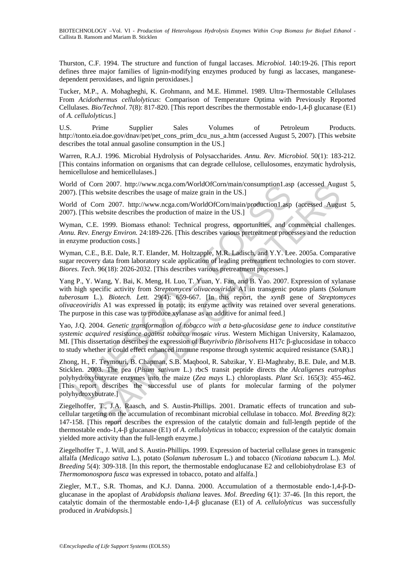Thurston, C.F. 1994. The structure and function of fungal laccases. *Microbiol.* 140:19-26. [This report defines three major families of lignin-modifying enzymes produced by fungi as laccases, manganesedependent peroxidases, and lignin peroxidases.]

Tucker, M.P., A. Mohagheghi, K. Grohmann, and M.E. Himmel. 1989. Ultra-Thermostable Cellulases From *Acidothermus cellulolyticus*: Comparison of Temperature Optima with Previously Reported Cellulases. *Bio/Technol*. 7(8): 817-820. [This report describes the thermostable endo-1,4-β glucanase (E1) of *A. cellulolyticus*.]

U.S. Prime Supplier Sales Volumes of Petroleum Products. http://tonto.eia.doe.gov/dnav/pet/pet\_cons\_prim\_dcu\_nus\_a.htm (accessed August 5, 2007). [This website describes the total annual gasoline consumption in the US.]

Warren, R.A.J. 1996. Microbial Hydrolysis of Polysaccharides. *Annu. Rev. Microbiol.* 50(1): 183-212. [This contains information on organisms that can degrade cellulose, cellulosomes, enzymatic hydrolysis, hemicellulose and hemicellulases.]

World of Corn 2007. http://www.ncga.com/WorldOfCorn/main/consumption1.asp (accessed August 5, 2007). [This website describes the usage of maize grain in the US.]

World of Corn 2007. http://www.ncga.com/WorldOfCorn/main/production1.asp (accessed August 5, 2007). [This website describes the production of maize in the US.]

Wyman, C.E. 1999. Biomass ethanol: Technical progress, opportunities, and commercial challenges. *Annu. Rev. Energy Environ.* 24:189-226. [This describes various pretreatment processes and the reduction in enzyme production costs.]

Wyman, C.E., B.E. Dale, R.T. Elander, M. Holtzapple, M.R. Ladisch, and Y.Y. Lee. 2005a. Comparative sugar recovery data from laboratory scale application of leading pretreatment technologies to corn stover. *Biores. Tech*. 96(18): 2026-2032. [This describes various pretreatment processes.]

Id of Com 2007. http://www.nega.com/WorldOICom/man/consumption1.asp<br>
1d of Com 2007. http://www.nega.com/WorldOICom/man/production1.asp<br>
1). [This website describes the usage of maize grain in the US.]<br>
1d of Com 2007. ht m 2007. http://www.nega.com/VorldOCCom/main/porsumption1.asp (accessed Augu<br>website describes the usage of maize grain in the US.]<br>corn 2007. http://www.nega.com/VorldOfCom/main/production1.asp (accessed Augu<br>website desc Yang P., Y. Wang, Y. Bai, K. Meng, H. Luo, T. Yuan, Y. Fan, and B. Yao. 2007. Expression of xylanase with high specific activity from *Streptomyces olivaceoviridis* A1 in transgenic potato plants (*Solanum tuberosum* L.). *Biotech. Lett.* 29(4): 659-667. [In this report, the *xynB* gene of *Streptomyces olivaceoviridis* A1 was expressed in potato; its enzyme activity was retained over several generations. The purpose in this case was to produce xylanase as an additive for animal feed.]

Yao, J.Q. 2004. *Genetic transformation of tobacco with a beta-glucosidase gene to induce constitutive systemic acquired resistance against tobacco mosaic virus*. Western Michigan University, Kalamazoo, MI. [This dissertation describes the expression of *Butyrivibrio fibrisolvens* H17c β-glucosidase in tobacco to study whether it could effect enhanced immune response through systemic acquired resistance (SAR).]

Zhong, H., F. Teymouri, B. Chapman, S.B. Maqbool, R. Sabzikar, Y. El-Maghraby, B.E. Dale, and M.B. Sticklen. 2003. The pea (*Pisum sativum* L.) rbcS transit peptide directs the *Alcaligenes eutrophus* polyhydroxybutyrate enzymes into the maize (*Zea mays* L.) chloroplasts. *Plant Sci*. 165(3): 455-462. [This report describes the successful use of plants for molecular farming of the polymer polyhydroxybutrate.]

Ziegelhoffer, T., J.A. Raasch, and S. Austin-Phillips. 2001. Dramatic effects of truncation and subcellular targeting on the accumulation of recombinant microbial cellulase in tobacco. *Mol. Breeding* 8(2): 147-158. [This report describes the expression of the catalytic domain and full-length peptide of the thermostable endo-1,4-β glucanase (E1) of *A. cellulolyticus* in tobacco; expression of the catalytic domain yielded more activity than the full-length enzyme.]

Ziegelhoffer T., J. Will, and S. Austin-Phillips. 1999. Expression of bacterial cellulase genes in transgenic alfalfa (*Medicago sativa* L.), potato (*Solanum tuberosum* L.) and tobacco (*Nicotiana tabacum* L.). *Mol. Breeding* 5(4): 309-318. [In this report, the thermostable endoglucanase E2 and cellobiohydrolase E3 of *Thermomonospora fusca* was expressed in tobacco, potato and alfalfa.]

Ziegler, M.T., S.R. Thomas, and K.J. Danna. 2000. Accumulation of a thermostable endo-1,4-β-Dglucanase in the apoplast of *Arabidopsis thaliana* leaves. *Mol. Breeding* 6(1): 37-46. [In this report, the catalytic domain of the thermostable endo-1,4-β glucanase (E1) of *A. cellulolyticus* was successfully produced in *Arabidopsis*.]